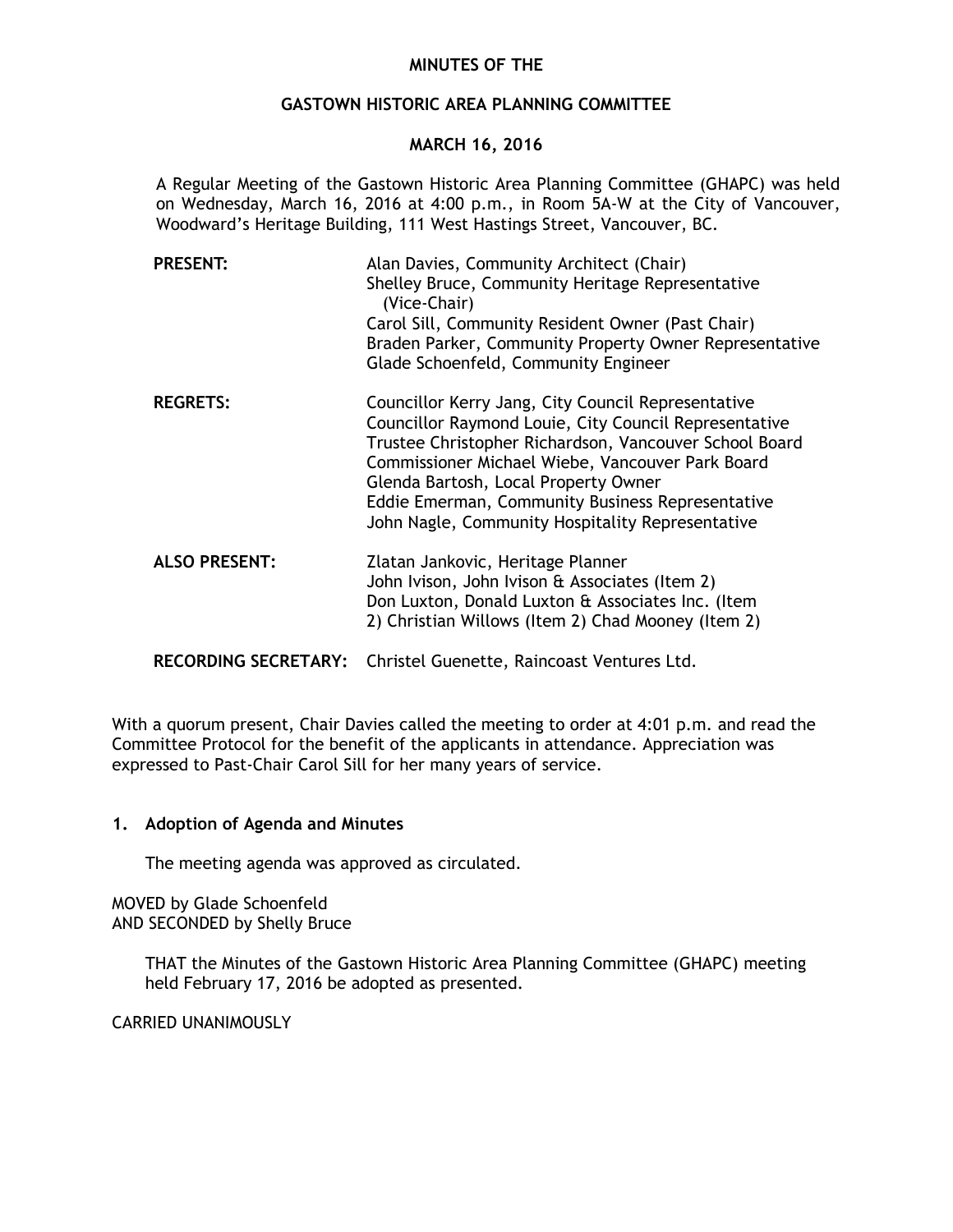# **MINUTES OF THE**

# **GASTOWN HISTORIC AREA PLANNING COMMITTEE**

# **MARCH 16, 2016**

A Regular Meeting of the Gastown Historic Area Planning Committee (GHAPC) was held on Wednesday, March 16, 2016 at 4:00 p.m., in Room 5A-W at the City of Vancouver, Woodward's Heritage Building, 111 West Hastings Street, Vancouver, BC.

| <b>PRESENT:</b>             | Alan Davies, Community Architect (Chair)<br>Shelley Bruce, Community Heritage Representative<br>(Vice-Chair)<br>Carol Sill, Community Resident Owner (Past Chair)<br>Braden Parker, Community Property Owner Representative<br>Glade Schoenfeld, Community Engineer                                                                                                       |
|-----------------------------|---------------------------------------------------------------------------------------------------------------------------------------------------------------------------------------------------------------------------------------------------------------------------------------------------------------------------------------------------------------------------|
| <b>REGRETS:</b>             | Councillor Kerry Jang, City Council Representative<br>Councillor Raymond Louie, City Council Representative<br>Trustee Christopher Richardson, Vancouver School Board<br>Commissioner Michael Wiebe, Vancouver Park Board<br>Glenda Bartosh, Local Property Owner<br>Eddie Emerman, Community Business Representative<br>John Nagle, Community Hospitality Representative |
| <b>ALSO PRESENT:</b>        | Zlatan Jankovic, Heritage Planner<br>John Ivison, John Ivison & Associates (Item 2)<br>Don Luxton, Donald Luxton & Associates Inc. (Item<br>2) Christian Willows (Item 2) Chad Mooney (Item 2)                                                                                                                                                                            |
| <b>RECORDING SECRETARY:</b> | Christel Guenette, Raincoast Ventures Ltd.                                                                                                                                                                                                                                                                                                                                |

With a quorum present, Chair Davies called the meeting to order at 4:01 p.m. and read the Committee Protocol for the benefit of the applicants in attendance. Appreciation was expressed to Past-Chair Carol Sill for her many years of service.

# **1. Adoption of Agenda and Minutes**

The meeting agenda was approved as circulated.

MOVED by Glade Schoenfeld AND SECONDED by Shelly Bruce

> THAT the Minutes of the Gastown Historic Area Planning Committee (GHAPC) meeting held February 17, 2016 be adopted as presented.

CARRIED UNANIMOUSLY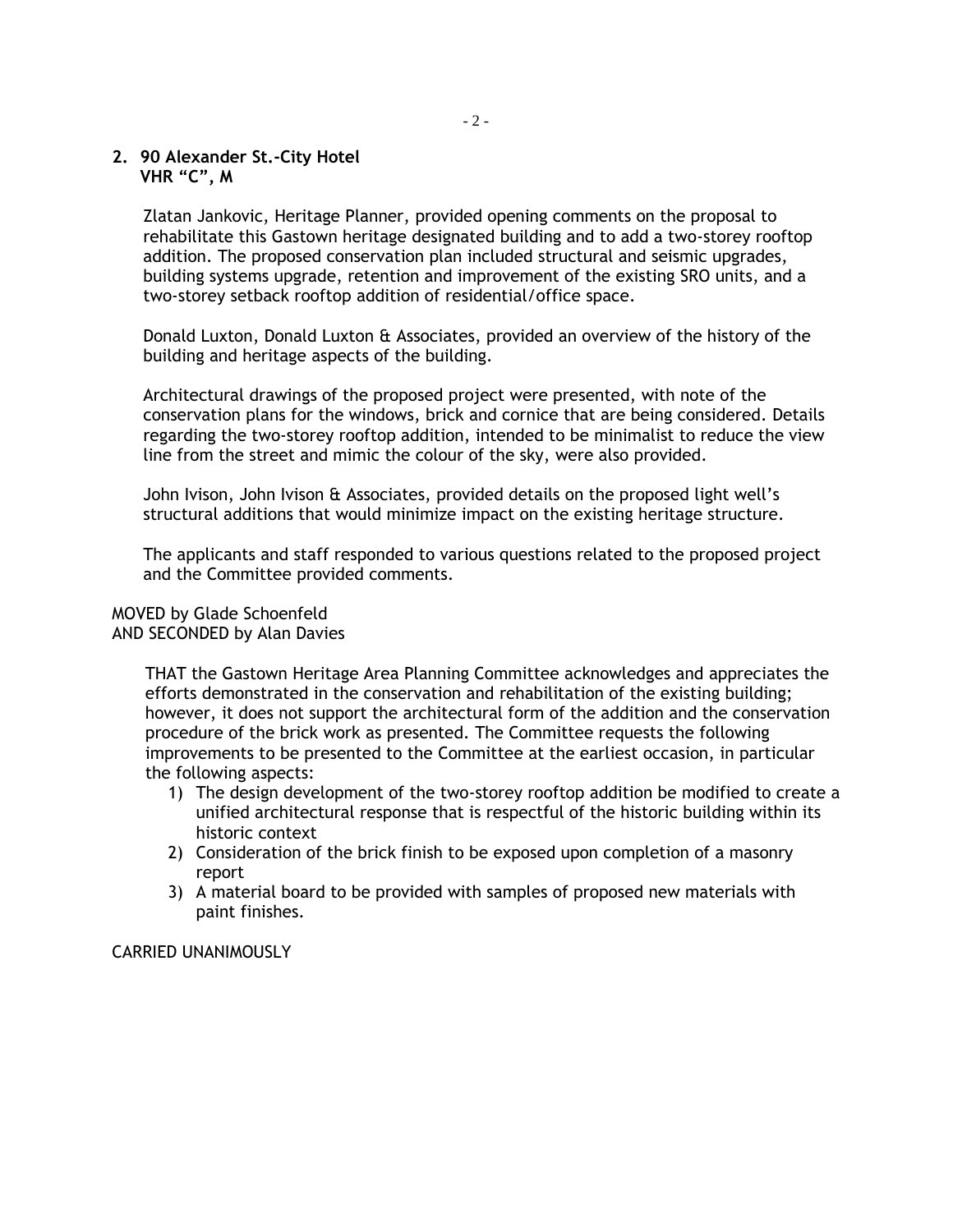# **2. 90 Alexander St.-City Hotel VHR "C", M**

Zlatan Jankovic, Heritage Planner, provided opening comments on the proposal to rehabilitate this Gastown heritage designated building and to add a two-storey rooftop addition. The proposed conservation plan included structural and seismic upgrades, building systems upgrade, retention and improvement of the existing SRO units, and a two-storey setback rooftop addition of residential/office space.

Donald Luxton, Donald Luxton & Associates, provided an overview of the history of the building and heritage aspects of the building.

Architectural drawings of the proposed project were presented, with note of the conservation plans for the windows, brick and cornice that are being considered. Details regarding the two-storey rooftop addition, intended to be minimalist to reduce the view line from the street and mimic the colour of the sky, were also provided.

John Ivison, John Ivison & Associates, provided details on the proposed light well's structural additions that would minimize impact on the existing heritage structure.

The applicants and staff responded to various questions related to the proposed project and the Committee provided comments.

#### MOVED by Glade Schoenfeld AND SECONDED by Alan Davies

THAT the Gastown Heritage Area Planning Committee acknowledges and appreciates the efforts demonstrated in the conservation and rehabilitation of the existing building; however, it does not support the architectural form of the addition and the conservation procedure of the brick work as presented. The Committee requests the following improvements to be presented to the Committee at the earliest occasion, in particular the following aspects:

- 1) The design development of the two-storey rooftop addition be modified to create a unified architectural response that is respectful of the historic building within its historic context
- 2) Consideration of the brick finish to be exposed upon completion of a masonry report
- 3) A material board to be provided with samples of proposed new materials with paint finishes.

# CARRIED UNANIMOUSLY